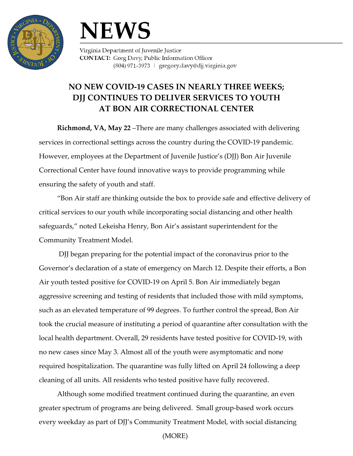



Virginia Department of Juvenile Justice **CONTACT:** Greg Davy, Public Information Officer (804) 971-3973 | gregory.davy@djj.virginia.gov

## **NO NEW COVID-19 CASES IN NEARLY THREE WEEKS; DJJ CONTINUES TO DELIVER SERVICES TO YOUTH AT BON AIR CORRECTIONAL CENTER**

**Richmond, VA, May 22** –There are many challenges associated with delivering services in correctional settings across the country during the COVID-19 pandemic. However, employees at the Department of Juvenile Justice's (DJJ) Bon Air Juvenile Correctional Center have found innovative ways to provide programming while ensuring the safety of youth and staff.

"Bon Air staff are thinking outside the box to provide safe and effective delivery of critical services to our youth while incorporating social distancing and other health safeguards," noted Lekeisha Henry, Bon Air's assistant superintendent for the Community Treatment Model.

DJJ began preparing for the potential impact of the coronavirus prior to the Governor's declaration of a state of emergency on March 12. Despite their efforts, a Bon Air youth tested positive for COVID-19 on April 5. Bon Air immediately began aggressive screening and testing of residents that included those with mild symptoms, such as an elevated temperature of 99 degrees. To further control the spread, Bon Air took the crucial measure of instituting a period of quarantine after consultation with the local health department. Overall, 29 residents have tested positive for COVID-19, with no new cases since May 3. Almost all of the youth were asymptomatic and none required hospitalization. The quarantine was fully lifted on April 24 following a deep cleaning of all units. All residents who tested positive have fully recovered.

Although some modified treatment continued during the quarantine, an even greater spectrum of programs are being delivered. Small group-based work occurs every weekday as part of DJJ's Community Treatment Model, with social distancing